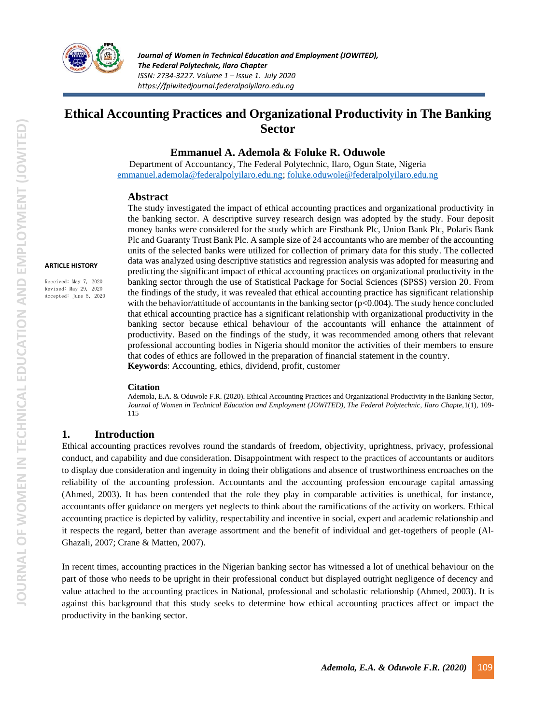

# **Ethical Accounting Practices and Organizational Productivity in The Banking Sector**

### **Emmanuel A. Ademola & Foluke R. Oduwole**

Department of Accountancy, The Federal Polytechnic, Ilaro, Ogun State, Nigeria [emmanuel.ademola@federalpolyilaro.edu.ng;](mailto:emmanuel.ademola@federalpolyilaro.edu.ng) [foluke.oduwole@federalpolyilaro.edu.ng](mailto:foluke.oduwole@federalpolyilaro.edu.ng)

#### **Abstract**

**ARTICLE HISTORY**

Received: May 7, 2020 Revised: May 29, 2020 Accepted: June 5, 2020 The study investigated the impact of ethical accounting practices and organizational productivity in the banking sector. A descriptive survey research design was adopted by the study. Four deposit money banks were considered for the study which are Firstbank Plc, Union Bank Plc, Polaris Bank Plc and Guaranty Trust Bank Plc. A sample size of 24 accountants who are member of the accounting units of the selected banks were utilized for collection of primary data for this study. The collected data was analyzed using descriptive statistics and regression analysis was adopted for measuring and predicting the significant impact of ethical accounting practices on organizational productivity in the banking sector through the use of Statistical Package for Social Sciences (SPSS) version 20. From the findings of the study, it was revealed that ethical accounting practice has significant relationship with the behavior/attitude of accountants in the banking sector ( $p<0.004$ ). The study hence concluded that ethical accounting practice has a significant relationship with organizational productivity in the banking sector because ethical behaviour of the accountants will enhance the attainment of productivity. Based on the findings of the study, it was recommended among others that relevant professional accounting bodies in Nigeria should monitor the activities of their members to ensure that codes of ethics are followed in the preparation of financial statement in the country. **Keywords**: Accounting, ethics, dividend, profit, customer

#### **Citation**

Ademola, E.A. & Oduwole F.R. (2020). Ethical Accounting Practices and Organizational Productivity in the Banking Sector, *Journal of Women in Technical Education and Employment (JOWITED), The Federal Polytechnic, Ilaro Chapte,*1(1), 109- 115

### **1. Introduction**

Ethical accounting practices revolves round the standards of freedom, objectivity, uprightness, privacy, professional conduct, and capability and due consideration. Disappointment with respect to the practices of accountants or auditors to display due consideration and ingenuity in doing their obligations and absence of trustworthiness encroaches on the reliability of the accounting profession. Accountants and the accounting profession encourage capital amassing (Ahmed, 2003). It has been contended that the role they play in comparable activities is unethical, for instance, accountants offer guidance on mergers yet neglects to think about the ramifications of the activity on workers. Ethical accounting practice is depicted by validity, respectability and incentive in social, expert and academic relationship and it respects the regard, better than average assortment and the benefit of individual and get-togethers of people (Al-Ghazali, 2007; Crane & Matten, 2007).

In recent times, accounting practices in the Nigerian banking sector has witnessed a lot of unethical behaviour on the part of those who needs to be upright in their professional conduct but displayed outright negligence of decency and value attached to the accounting practices in National, professional and scholastic relationship (Ahmed, 2003). It is against this background that this study seeks to determine how ethical accounting practices affect or impact the productivity in the banking sector.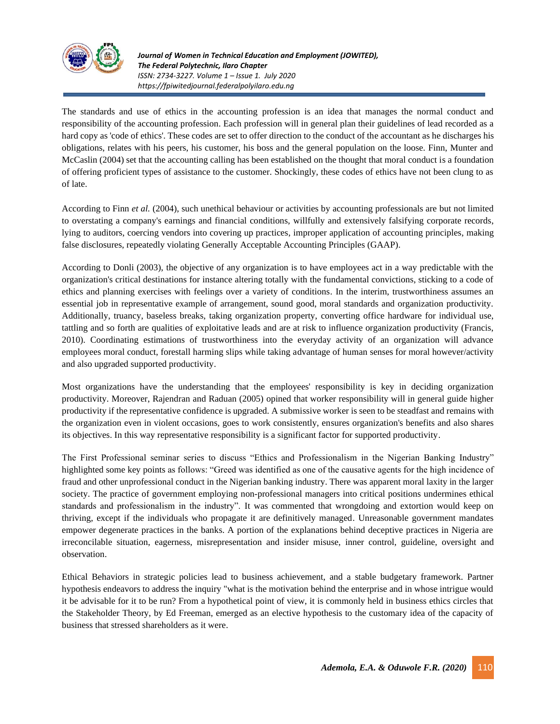

*Journal of Women in Technical Education and Employment (JOWITED), The Federal Polytechnic, Ilaro Chapter ISSN: 2734-3227. Volume 1 – Issue 1. July 2020 https://fpiwitedjournal.federalpolyilaro.edu.ng*

The standards and use of ethics in the accounting profession is an idea that manages the normal conduct and responsibility of the accounting profession. Each profession will in general plan their guidelines of lead recorded as a hard copy as 'code of ethics'. These codes are set to offer direction to the conduct of the accountant as he discharges his obligations, relates with his peers, his customer, his boss and the general population on the loose. Finn, Munter and McCaslin (2004) set that the accounting calling has been established on the thought that moral conduct is a foundation of offering proficient types of assistance to the customer. Shockingly, these codes of ethics have not been clung to as of late.

According to Finn *et al.* (2004), such unethical behaviour or activities by accounting professionals are but not limited to overstating a company's earnings and financial conditions, willfully and extensively falsifying corporate records, lying to auditors, coercing vendors into covering up practices, improper application of accounting principles, making false disclosures, repeatedly violating Generally Acceptable Accounting Principles (GAAP).

According to Donli (2003), the objective of any organization is to have employees act in a way predictable with the organization's critical destinations for instance altering totally with the fundamental convictions, sticking to a code of ethics and planning exercises with feelings over a variety of conditions. In the interim, trustworthiness assumes an essential job in representative example of arrangement, sound good, moral standards and organization productivity. Additionally, truancy, baseless breaks, taking organization property, converting office hardware for individual use, tattling and so forth are qualities of exploitative leads and are at risk to influence organization productivity (Francis, 2010). Coordinating estimations of trustworthiness into the everyday activity of an organization will advance employees moral conduct, forestall harming slips while taking advantage of human senses for moral however/activity and also upgraded supported productivity.

Most organizations have the understanding that the employees' responsibility is key in deciding organization productivity. Moreover, Rajendran and Raduan (2005) opined that worker responsibility will in general guide higher productivity if the representative confidence is upgraded. A submissive worker is seen to be steadfast and remains with the organization even in violent occasions, goes to work consistently, ensures organization's benefits and also shares its objectives. In this way representative responsibility is a significant factor for supported productivity.

The First Professional seminar series to discuss "Ethics and Professionalism in the Nigerian Banking Industry" highlighted some key points as follows: "Greed was identified as one of the causative agents for the high incidence of fraud and other unprofessional conduct in the Nigerian banking industry. There was apparent moral laxity in the larger society. The practice of government employing non-professional managers into critical positions undermines ethical standards and professionalism in the industry". It was commented that wrongdoing and extortion would keep on thriving, except if the individuals who propagate it are definitively managed. Unreasonable government mandates empower degenerate practices in the banks. A portion of the explanations behind deceptive practices in Nigeria are irreconcilable situation, eagerness, misrepresentation and insider misuse, inner control, guideline, oversight and observation.

Ethical Behaviors in strategic policies lead to business achievement, and a stable budgetary framework. Partner hypothesis endeavors to address the inquiry "what is the motivation behind the enterprise and in whose intrigue would it be advisable for it to be run? From a hypothetical point of view, it is commonly held in business ethics circles that the Stakeholder Theory, by Ed Freeman, emerged as an elective hypothesis to the customary idea of the capacity of business that stressed shareholders as it were.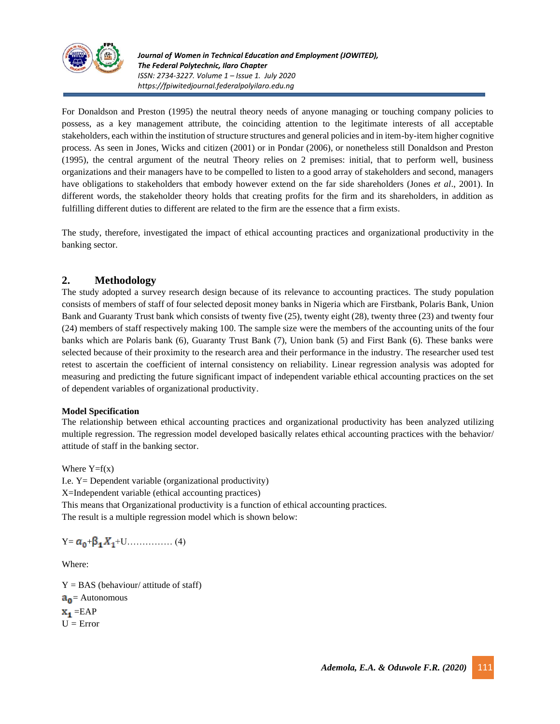

*Journal of Women in Technical Education and Employment (JOWITED), The Federal Polytechnic, Ilaro Chapter ISSN: 2734-3227. Volume 1 – Issue 1. July 2020 https://fpiwitedjournal.federalpolyilaro.edu.ng*

For Donaldson and Preston (1995) the neutral theory needs of anyone managing or touching company policies to possess, as a key management attribute, the coinciding attention to the legitimate interests of all acceptable stakeholders, each within the institution of structure structures and general policies and in item-by-item higher cognitive process. As seen in Jones, Wicks and citizen (2001) or in Pondar (2006), or nonetheless still Donaldson and Preston (1995), the central argument of the neutral Theory relies on 2 premises: initial, that to perform well, business organizations and their managers have to be compelled to listen to a good array of stakeholders and second, managers have obligations to stakeholders that embody however extend on the far side shareholders (Jones *et al*., 2001). In different words, the stakeholder theory holds that creating profits for the firm and its shareholders, in addition as fulfilling different duties to different are related to the firm are the essence that a firm exists.

The study, therefore, investigated the impact of ethical accounting practices and organizational productivity in the banking sector.

## **2. Methodology**

The study adopted a survey research design because of its relevance to accounting practices. The study population consists of members of staff of four selected deposit money banks in Nigeria which are Firstbank, Polaris Bank, Union Bank and Guaranty Trust bank which consists of twenty five (25), twenty eight (28), twenty three (23) and twenty four (24) members of staff respectively making 100. The sample size were the members of the accounting units of the four banks which are Polaris bank (6), Guaranty Trust Bank (7), Union bank (5) and First Bank (6). These banks were selected because of their proximity to the research area and their performance in the industry. The researcher used test retest to ascertain the coefficient of internal consistency on reliability. Linear regression analysis was adopted for measuring and predicting the future significant impact of independent variable ethical accounting practices on the set of dependent variables of organizational productivity.

#### **Model Specification**

The relationship between ethical accounting practices and organizational productivity has been analyzed utilizing multiple regression. The regression model developed basically relates ethical accounting practices with the behavior/ attitude of staff in the banking sector.

Where  $Y=f(x)$ 

I.e. Y= Dependent variable (organizational productivity) X=Independent variable (ethical accounting practices) This means that Organizational productivity is a function of ethical accounting practices. The result is a multiple regression model which is shown below:

Y= + +U…………… (4)

Where:

 $Y = BAS$  (behaviour/ attitude of staff)  $a_0$  = Autonomous  $X_1 = EAP$  $U = Error$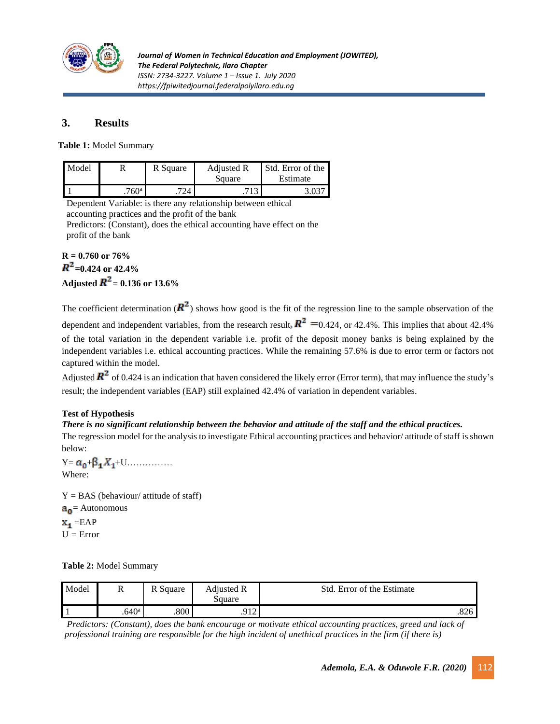

# **3. Results**

**Table 1:** Model Summary

| Model |               | R Square | Adjusted R<br>Square | Std. Error of the<br>Estimate |  |
|-------|---------------|----------|----------------------|-------------------------------|--|
|       | $760^{\rm a}$ | 774      |                      |                               |  |

Dependent Variable: is there any relationship between ethical accounting practices and the profit of the bank Predictors: (Constant), does the ethical accounting have effect on the profit of the bank

# **R = 0.760 or 76%**  $R^2$ =0.424 or 42.4% **Adjusted**  $\mathbf{R}^2 = 0.136$  **or 13.6%**

The coefficient determination ( $\mathbb{R}^2$ ) shows how good is the fit of the regression line to the sample observation of the dependent and independent variables, from the research result,  $\mathbb{R}^2$  =0.424, or 42.4%. This implies that about 42.4% of the total variation in the dependent variable i.e. profit of the deposit money banks is being explained by the independent variables i.e. ethical accounting practices. While the remaining 57.6% is due to error term or factors not captured within the model.

Adjusted  $\mathbb{R}^2$  of 0.424 is an indication that haven considered the likely error (Error term), that may influence the study's result; the independent variables (EAP) still explained 42.4% of variation in dependent variables.

### **Test of Hypothesis**

### *There is no significant relationship between the behavior and attitude of the staff and the ethical practices.*

The regression model for the analysis to investigate Ethical accounting practices and behavior/ attitude of staff is shown below:

 $Y = a_0 + \beta_1 X_1 + U \dots$ Where:

 $Y = BAS$  (behaviour/ attitude of staff)  $a_0$  = Autonomous  $\mathbf{x}_1 = \text{EAP}$  $U = Error$ 

**Table 2:** Model Summary

| Model | D<br>л            | DС<br>R Square    | Adjusted R<br>square | Std. Error of the Estimate |
|-------|-------------------|-------------------|----------------------|----------------------------|
|       | .640 <sup>a</sup> | $.800\phantom{0}$ | Q12<br>$\perp$       | .826                       |

*Predictors: (Constant), does the bank encourage or motivate ethical accounting practices, greed and lack of professional training are responsible for the high incident of unethical practices in the firm (if there is)*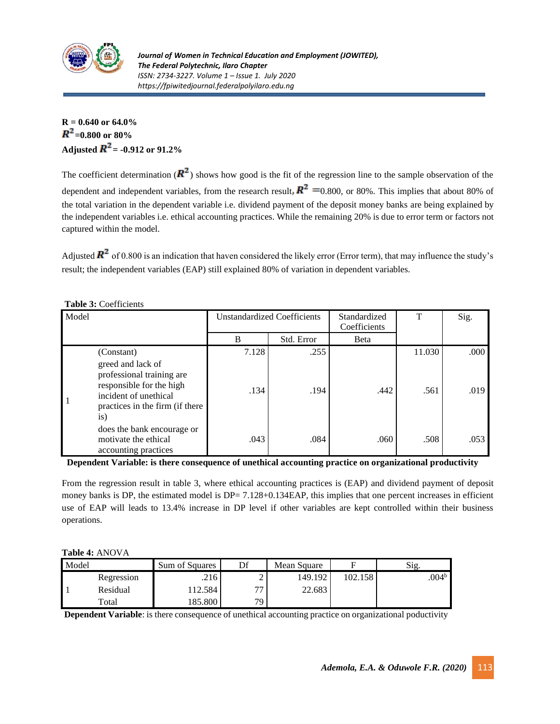

# **R = 0.640 or 64.0%**  $R^2$ =0.800 or 80% **Adjusted**  $R^2$  **= -0.912 or 91.2%**

The coefficient determination ( $\mathbb{R}^2$ ) shows how good is the fit of the regression line to the sample observation of the dependent and independent variables, from the research result,  $\mathbb{R}^2$  =0.800, or 80%. This implies that about 80% of the total variation in the dependent variable i.e. dividend payment of the deposit money banks are being explained by the independent variables i.e. ethical accounting practices. While the remaining 20% is due to error term or factors not captured within the model.

Adjusted  $\mathbb{R}^2$  of 0.800 is an indication that haven considered the likely error (Error term), that may influence the study's result; the independent variables (EAP) still explained 80% of variation in dependent variables.

| Model |                                                                                                                                                             | <b>Unstandardized Coefficients</b> |            | Standardized<br>Coefficients | T      | Sig. |
|-------|-------------------------------------------------------------------------------------------------------------------------------------------------------------|------------------------------------|------------|------------------------------|--------|------|
|       |                                                                                                                                                             | B                                  | Std. Error | <b>B</b> eta                 |        |      |
|       | (Constant)                                                                                                                                                  | 7.128                              | .255       |                              | 11.030 | .000 |
|       | greed and lack of<br>professional training are<br>responsible for the high<br>incident of unethical<br>practices in the firm (if there<br>$\overline{1}S$ ) | .134                               | .194       | .442                         | .561   | .019 |
|       | does the bank encourage or<br>motivate the ethical<br>accounting practices                                                                                  | .043                               | .084       | .060                         | .508   | .053 |

**Dependent Variable: is there consequence of unethical accounting practice on organizational productivity** 

From the regression result in table 3, where ethical accounting practices is (EAP) and dividend payment of deposit money banks is DP, the estimated model is DP= 7.128+0.134EAP, this implies that one percent increases in efficient use of EAP will leads to 13.4% increase in DP level if other variables are kept controlled within their business operations.

#### **Table 4:** ANOVA

| Model |                        | Sum of Squares | ηf              | Mean Square |         | Sig.              |
|-------|------------------------|----------------|-----------------|-------------|---------|-------------------|
|       | Regression             | .216           | ∸               | 149.192     | 102.158 | .004 <sup>b</sup> |
|       | Residual               | 12.584         | $\overline{a}$  | 22.683      |         |                   |
|       | $\tau$ <sub>otal</sub> | 185.800        | 79 <sub>1</sub> |             |         |                   |

**Dependent Variable**: is there consequence of unethical accounting practice on organizational poductivity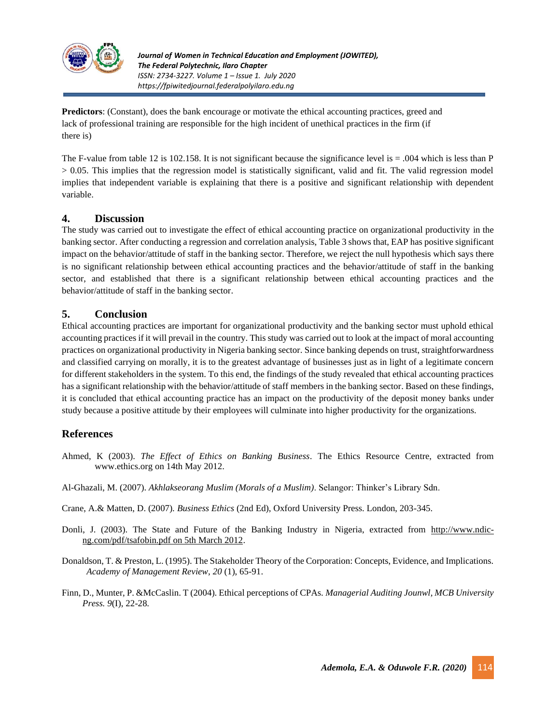

**Predictors**: (Constant), does the bank encourage or motivate the ethical accounting practices, greed and lack of professional training are responsible for the high incident of unethical practices in the firm (if there is)

The F-value from table 12 is 102.158. It is not significant because the significance level is  $= .004$  which is less than P > 0.05. This implies that the regression model is statistically significant, valid and fit. The valid regression model implies that independent variable is explaining that there is a positive and significant relationship with dependent variable.

### **4. Discussion**

The study was carried out to investigate the effect of ethical accounting practice on organizational productivity in the banking sector. After conducting a regression and correlation analysis, Table 3 shows that, EAP has positive significant impact on the behavior/attitude of staff in the banking sector. Therefore, we reject the null hypothesis which says there is no significant relationship between ethical accounting practices and the behavior/attitude of staff in the banking sector, and established that there is a significant relationship between ethical accounting practices and the behavior/attitude of staff in the banking sector.

## **5. Conclusion**

Ethical accounting practices are important for organizational productivity and the banking sector must uphold ethical accounting practices if it will prevail in the country. This study was carried out to look at the impact of moral accounting practices on organizational productivity in Nigeria banking sector. Since banking depends on trust, straightforwardness and classified carrying on morally, it is to the greatest advantage of businesses just as in light of a legitimate concern for different stakeholders in the system. To this end, the findings of the study revealed that ethical accounting practices has a significant relationship with the behavior/attitude of staff members in the banking sector. Based on these findings, it is concluded that ethical accounting practice has an impact on the productivity of the deposit money banks under study because a positive attitude by their employees will culminate into higher productivity for the organizations.

## **References**

- Ahmed, K (2003). *The Effect of Ethics on Banking Business*. The Ethics Resource Centre, extracted from www.ethics.org on 14th May 2012.
- Al-Ghazali, M. (2007). *Akhlakseorang Muslim (Morals of a Muslim)*. Selangor: Thinker's Library Sdn.
- Crane, A.& Matten, D. (2007). *Business Ethics* (2nd Ed), Oxford University Press. London, 203-345.
- Donli, J. (2003). The State and Future of the Banking Industry in Nigeria, extracted from [http://www.ndic](http://www.ndic-ng.com/pdf/tsafobin.pdf%20on%205th%20March%202012)[ng.com/pdf/tsafobin.pdf on 5th March 2012.](http://www.ndic-ng.com/pdf/tsafobin.pdf%20on%205th%20March%202012)
- Donaldson, T. & Preston, L. (1995). The Stakeholder Theory of the Corporation: Concepts, Evidence, and Implications. *Academy of Management Review*, *20* (1), 65-91.
- Finn, D., Munter, P. &McCaslin. T (2004). Ethical perceptions of CPAs. *Managerial Auditing Jounwl, MCB University Press. 9*(I), 22-28*.*